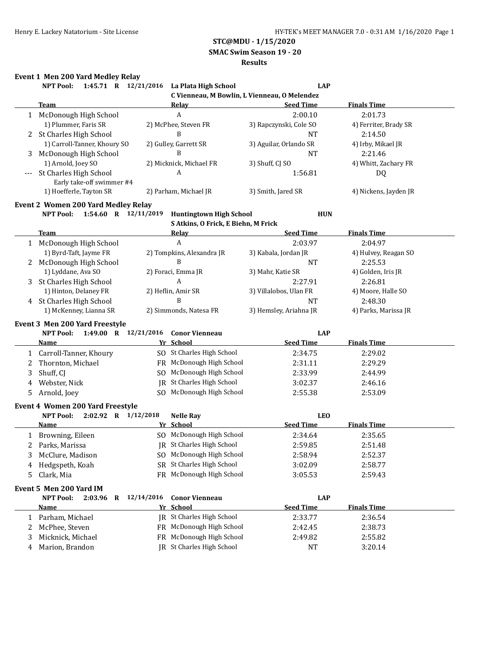## **SMAC Swim Season 19 - 20**

#### **Results**

## **Event 1 Men 200 Yard Medley Relay**

|   | <b>NPT Pool:</b>                                               | 1:45.71 R 12/21/2016 La Plata High School | <b>LAP</b>                                   |                       |
|---|----------------------------------------------------------------|-------------------------------------------|----------------------------------------------|-----------------------|
|   |                                                                |                                           | C Vienneau, M Bowlin, L Vienneau, O Melendez |                       |
|   | <b>Team</b>                                                    | Relay                                     | <b>Seed Time</b>                             | <b>Finals Time</b>    |
|   | 1 McDonough High School                                        | A                                         | 2:00.10                                      | 2:01.73               |
|   | 1) Plummer, Faris SR                                           | 2) McPhee, Steven FR                      | 3) Rapczynski, Cole SO                       | 4) Ferriter, Brady SR |
|   | 2 St Charles High School                                       | B                                         | <b>NT</b>                                    | 2:14.50               |
|   | 1) Carroll-Tanner, Khoury SO                                   | 2) Gulley, Garrett SR                     | 3) Aguilar, Orlando SR                       | 4) Irby, Mikael JR    |
| 3 | McDonough High School                                          | B                                         | <b>NT</b>                                    | 2:21.46               |
|   | 1) Arnold, Joey SO                                             | 2) Micknick, Michael FR                   | 3) Shuff, CJ SO                              | 4) Whitt, Zachary FR  |
|   | <b>St Charles High School</b>                                  | A                                         | 1:56.81                                      | DQ                    |
|   | Early take-off swimmer #4                                      |                                           |                                              |                       |
|   | 1) Hoefferle, Tayton SR                                        | 2) Parham, Michael JR                     | 3) Smith, Jared SR                           | 4) Nickens, Jayden JR |
|   |                                                                |                                           |                                              |                       |
|   | <b>Event 2 Women 200 Yard Medley Relay</b><br><b>NPT Pool:</b> |                                           | <b>HUN</b>                                   |                       |
|   | 1:54.60 R 12/11/2019                                           | <b>Huntingtown High School</b>            |                                              |                       |
|   |                                                                | S Atkins, O Frick, E Biehn, M Frick       |                                              |                       |
|   | Team                                                           | <b>Relay</b>                              | <b>Seed Time</b>                             | <b>Finals Time</b>    |
|   | 1 McDonough High School                                        | A                                         | 2:03.97                                      | 2:04.97               |
|   | 1) Byrd-Taft, Jayme FR                                         | 2) Tompkins, Alexandra JR                 | 3) Kabala, Jordan JR                         | 4) Hulvey, Reagan SO  |
| 2 | McDonough High School                                          | B                                         | <b>NT</b>                                    | 2:25.53               |
|   | 1) Lyddane, Ava SO                                             | 2) Foraci, Emma JR                        | 3) Mahr, Katie SR                            | 4) Golden, Iris JR    |
| 3 | St Charles High School                                         | A                                         | 2:27.91                                      | 2:26.81               |
|   | 1) Hinton, Delaney FR                                          | 2) Heflin, Amir SR                        | 3) Villalobos, Ulan FR                       | 4) Moore, Halle SO    |
| 4 | St Charles High School                                         | B                                         | <b>NT</b>                                    | 2:48.30               |
|   | 1) McKenney, Lianna SR                                         | 2) Simmonds, Natesa FR                    | 3) Hemsley, Ariahna JR                       | 4) Parks, Marissa JR  |
|   | Event 3 Men 200 Yard Freestyle                                 |                                           |                                              |                       |
|   | <b>NPT Pool:</b><br>1:49.00 R 12/21/2016                       | <b>Conor Vienneau</b>                     | <b>LAP</b>                                   |                       |
|   | <u>Name</u>                                                    | Yr School                                 | <b>Seed Time</b>                             | <b>Finals Time</b>    |
| 1 | Carroll-Tanner, Khoury                                         | SO St Charles High School                 | 2:34.75                                      | 2:29.02               |
| 2 | Thornton, Michael                                              | FR McDonough High School                  | 2:31.11                                      | 2:29.29               |
| 3 | Shuff, CJ                                                      | McDonough High School<br>S <sub>O</sub>   | 2:33.99                                      | 2:44.99               |
|   | Webster, Nick                                                  | JR St Charles High School                 | 3:02.37                                      | 2:46.16               |
| 4 |                                                                | SO McDonough High School                  |                                              |                       |
| 5 | Arnold, Joey                                                   |                                           | 2:55.38                                      | 2:53.09               |
|   | <b>Event 4 Women 200 Yard Freestyle</b>                        |                                           |                                              |                       |
|   | <b>NPT Pool:</b><br>2:02.92 R 1/12/2018                        | <b>Nelle Ray</b>                          | <b>LEO</b>                                   |                       |
|   | Name                                                           | Yr School                                 | <b>Seed Time</b>                             | <b>Finals Time</b>    |
|   | 1 Browning, Eileen                                             | SO McDonough High School                  | 2:34.64                                      | 2:35.65               |
| 2 | Parks, Marissa                                                 | JR St Charles High School                 | 2:59.85                                      | 2:51.48               |
|   | McClure, Madison                                               | SO McDonough High School                  | 2:58.94                                      | 2:52.37               |
| 4 | Hedgspeth, Koah                                                | SR St Charles High School                 | 3:02.09                                      | 2:58.77               |
| 5 | Clark, Mia                                                     | FR McDonough High School                  | 3:05.53                                      | 2:59.43               |
|   |                                                                |                                           |                                              |                       |
|   | Event 5 Men 200 Yard IM                                        |                                           |                                              |                       |
|   | 2:03.96 R 12/14/2016<br><b>NPT Pool:</b>                       | <b>Conor Vienneau</b>                     | <b>LAP</b>                                   |                       |
|   | <u>Name</u>                                                    | Yr School                                 | <b>Seed Time</b>                             | <b>Finals Time</b>    |
|   |                                                                |                                           |                                              |                       |
| 1 | Parham, Michael                                                | <b>IR</b> St Charles High School          | 2:33.77                                      | 2:36.54               |
| 2 | McPhee, Steven                                                 | FR McDonough High School                  | 2:42.45                                      | 2:38.73               |
| 3 | Micknick, Michael                                              | FR McDonough High School                  | 2:49.82                                      | 2:55.82               |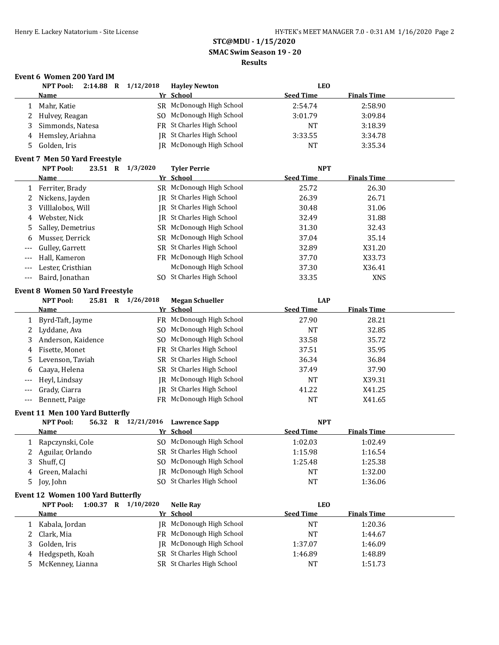**SMAC Swim Season 19 - 20**

#### **Results**

## **Event 6 Women 200 Yard IM**

|              | <b>NPT Pool:</b>                         | 2:14.88 R 1/12/2018 | <b>Hayley Newton</b>      | <b>LEO</b>       |                    |  |
|--------------|------------------------------------------|---------------------|---------------------------|------------------|--------------------|--|
|              | Name                                     |                     | Yr School                 | <b>Seed Time</b> | <b>Finals Time</b> |  |
| 1            | Mahr, Katie                              |                     | SR McDonough High School  | 2:54.74          | 2:58.90            |  |
| 2            | Hulvey, Reagan                           | SO.                 | McDonough High School     | 3:01.79          | 3:09.84            |  |
| 3            | Simmonds, Natesa                         |                     | FR St Charles High School | <b>NT</b>        | 3:18.39            |  |
| 4            | Hemsley, Ariahna                         | IR                  | St Charles High School    | 3:33.55          | 3:34.78            |  |
| 5            | Golden, Iris                             |                     | JR McDonough High School  | <b>NT</b>        | 3:35.34            |  |
|              | <b>Event 7 Men 50 Yard Freestyle</b>     |                     |                           |                  |                    |  |
|              | <b>NPT Pool:</b>                         | 23.51 R 1/3/2020    | <b>Tyler Perrie</b>       | <b>NPT</b>       |                    |  |
|              | <u>Name</u>                              |                     | Yr School                 | <b>Seed Time</b> | <b>Finals Time</b> |  |
| 1            | Ferriter, Brady                          |                     | SR McDonough High School  | 25.72            | 26.30              |  |
| 2            | Nickens, Jayden                          |                     | JR St Charles High School | 26.39            | 26.71              |  |
| 3            | Villlalobos, Will                        |                     | JR St Charles High School | 30.48            | 31.06              |  |
| 4            | Webster, Nick                            |                     | JR St Charles High School | 32.49            | 31.88              |  |
|              | Salley, Demetrius                        |                     | SR McDonough High School  | 31.30            | 32.43              |  |
| 5            | Musser, Derrick                          |                     | SR McDonough High School  | 37.04            | 35.14              |  |
| 6            |                                          |                     | SR St Charles High School |                  |                    |  |
|              | Gulley, Garrett<br>Hall, Kameron         |                     | FR McDonough High School  | 32.89            | X31.20             |  |
| ---          |                                          |                     | McDonough High School     | 37.70            | X33.73             |  |
| ---          | Lester, Cristhian                        |                     |                           | 37.30            | X36.41             |  |
| ---          | Baird, Jonathan                          |                     | SO St Charles High School | 33.35            | <b>XNS</b>         |  |
|              | <b>Event 8 Women 50 Yard Freestyle</b>   |                     |                           |                  |                    |  |
|              | <b>NPT Pool:</b>                         | 25.81 R 1/26/2018   | <b>Megan Schueller</b>    | <b>LAP</b>       |                    |  |
|              | <u>Name</u>                              |                     | Yr School                 | <b>Seed Time</b> | <b>Finals Time</b> |  |
| $\mathbf{1}$ | Byrd-Taft, Jayme                         |                     | FR McDonough High School  | 27.90            | 28.21              |  |
| 2            | Lyddane, Ava                             |                     | SO McDonough High School  | <b>NT</b>        | 32.85              |  |
| 3            | Anderson, Kaidence                       | SO.                 | McDonough High School     | 33.58            | 35.72              |  |
| 4            | Fisette, Monet                           |                     | FR St Charles High School | 37.51            | 35.95              |  |
| 5            | Levenson, Taviah                         | <b>SR</b>           | St Charles High School    | 36.34            | 36.84              |  |
| 6            | Caaya, Helena                            |                     | SR St Charles High School | 37.49            | 37.90              |  |
|              | Heyl, Lindsay                            | IR                  | McDonough High School     | <b>NT</b>        | X39.31             |  |
| ---          | Grady, Ciarra                            | IR                  | St Charles High School    | 41.22            | X41.25             |  |
| ---          | Bennett, Paige                           |                     | FR McDonough High School  | <b>NT</b>        | X41.65             |  |
|              | Event 11 Men 100 Yard Butterfly          |                     |                           |                  |                    |  |
|              | <b>NPT Pool:</b>                         | 56.32 R 12/21/2016  | <b>Lawrence Sapp</b>      | <b>NPT</b>       |                    |  |
|              | Name                                     |                     | Yr School                 | <b>Seed Time</b> | <b>Finals Time</b> |  |
|              | 1 Rapczynski, Cole                       |                     | SO McDonough High School  | 1:02.03          | 1:02.49            |  |
| 2            | Aguilar, Orlando                         |                     | SR St Charles High School | 1:15.98          | 1:16.54            |  |
| 3            | Shuff, CJ                                |                     | SO McDonough High School  | 1:25.48          | 1:25.38            |  |
| 4            | Green, Malachi                           | IR                  | McDonough High School     | NT               | 1:32.00            |  |
| 5            | Joy, John                                |                     | SO St Charles High School | NT               | 1:36.06            |  |
|              |                                          |                     |                           |                  |                    |  |
|              | <b>Event 12 Women 100 Yard Butterfly</b> |                     |                           |                  |                    |  |
|              | <b>NPT Pool:</b>                         | 1:00.37 R 1/10/2020 | <b>Nelle Ray</b>          | <b>LEO</b>       |                    |  |
|              | <u>Name</u>                              |                     | Yr School                 | <b>Seed Time</b> | <b>Finals Time</b> |  |
| 1            | Kabala, Jordan                           |                     | JR McDonough High School  | <b>NT</b>        | 1:20.36            |  |
| 2            | Clark, Mia                               | FR.                 | McDonough High School     | NT               | 1:44.67            |  |
| 3            | Golden, Iris                             | IR                  | McDonough High School     | 1:37.07          | 1:46.09            |  |
| 4            | Hedgspeth, Koah                          |                     | SR St Charles High School | 1:46.89          | 1:48.89            |  |
| 5            | McKenney, Lianna                         |                     | SR St Charles High School | NT               | 1:51.73            |  |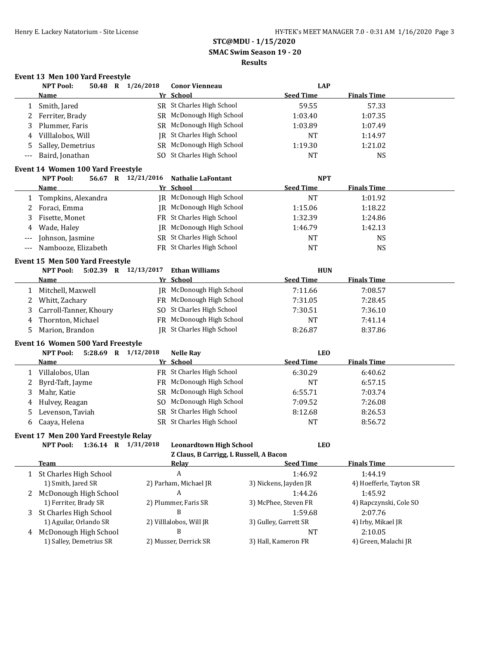**SMAC Swim Season 19 - 20**

## **Results**

# **Event 13 Men 100 Yard Freestyle**<br>NPT Pool: 50.48 R 1

|              | <b>NPT Pool:</b>                      | 50.48 R 1/26/2018    | <b>Conor Vienneau</b>                                                    | <b>LAP</b>            |                         |
|--------------|---------------------------------------|----------------------|--------------------------------------------------------------------------|-----------------------|-------------------------|
|              | Name                                  |                      | Yr School                                                                | <b>Seed Time</b>      | <b>Finals Time</b>      |
| 1            | Smith, Jared                          |                      | SR St Charles High School                                                | 59.55                 | 57.33                   |
| 2            | Ferriter, Brady                       |                      | SR McDonough High School                                                 | 1:03.40               | 1:07.35                 |
| 3            | Plummer, Faris                        |                      | SR McDonough High School                                                 | 1:03.89               | 1:07.49                 |
| 4            | Villlalobos, Will                     |                      | <b>IR</b> St Charles High School                                         | <b>NT</b>             | 1:14.97                 |
| 5            | Salley, Demetrius                     |                      | SR McDonough High School                                                 | 1:19.30               | 1:21.02                 |
| ---          | Baird, Jonathan                       |                      | SO St Charles High School                                                | NT                    | NS                      |
|              | Event 14 Women 100 Yard Freestyle     |                      |                                                                          |                       |                         |
|              | <b>NPT Pool:</b>                      | 56.67 R 12/21/2016   | <b>Nathalie LaFontant</b>                                                | <b>NPT</b>            |                         |
|              | <u>Name</u>                           |                      | Yr School                                                                | <b>Seed Time</b>      | <b>Finals Time</b>      |
| 1            | Tompkins, Alexandra                   |                      | JR McDonough High School                                                 | <b>NT</b>             | 1:01.92                 |
| 2            | Foraci, Emma                          |                      | <b>IR</b> McDonough High School                                          | 1:15.06               | 1:18.22                 |
| 3            | Fisette, Monet                        |                      | FR St Charles High School                                                | 1:32.39               | 1:24.86                 |
| 4            | Wade, Haley                           |                      | <b>IR</b> McDonough High School                                          | 1:46.79               | 1:42.13                 |
| ---          | Johnson, Jasmine                      |                      | SR St Charles High School                                                | <b>NT</b>             | <b>NS</b>               |
| ---          | Nambooze, Elizabeth                   |                      | FR St Charles High School                                                | <b>NT</b>             | <b>NS</b>               |
|              | Event 15 Men 500 Yard Freestyle       |                      |                                                                          |                       |                         |
|              | <b>NPT Pool:</b>                      | 5:02.39 R 12/13/2017 | <b>Ethan Williams</b>                                                    | <b>HUN</b>            |                         |
|              | Name                                  |                      | Yr School                                                                | <b>Seed Time</b>      | <b>Finals Time</b>      |
| 1            | Mitchell, Maxwell                     |                      | IR McDonough High School                                                 | 7:11.66               | 7:08.57                 |
| 2            | Whitt, Zachary                        |                      | FR McDonough High School                                                 | 7:31.05               | 7:28.45                 |
| 3            | Carroll-Tanner, Khoury                |                      | SO St Charles High School                                                | 7:30.51               | 7:36.10                 |
| 4            | Thornton, Michael                     |                      | FR McDonough High School                                                 | <b>NT</b>             | 7:41.14                 |
| 5            | Marion, Brandon                       |                      | JR St Charles High School                                                | 8:26.87               | 8:37.86                 |
|              | Event 16 Women 500 Yard Freestyle     |                      |                                                                          |                       |                         |
|              | <b>NPT Pool:</b>                      | 5:28.69 R 1/12/2018  | <b>Nelle Ray</b>                                                         | <b>LEO</b>            |                         |
|              | <b>Name</b>                           |                      | Yr School                                                                | <b>Seed Time</b>      | <b>Finals Time</b>      |
| 1            | Villalobos, Ulan                      |                      | FR St Charles High School                                                | 6:30.29               | 6:40.62                 |
| 2            | Byrd-Taft, Jayme                      |                      | FR McDonough High School                                                 | NT                    | 6:57.15                 |
| 3            | Mahr, Katie                           |                      | SR McDonough High School                                                 | 6:55.71               | 7:03.74                 |
| 4            | Hulvey, Reagan                        |                      | SO McDonough High School                                                 | 7:09.52               | 7:26.08                 |
| 5            | Levenson, Taviah                      |                      | SR St Charles High School                                                | 8:12.68               | 8:26.53                 |
| 6            | Caaya, Helena                         |                      | SR St Charles High School                                                | <b>NT</b>             | 8:56.72                 |
|              |                                       |                      |                                                                          |                       |                         |
|              | Event 17 Men 200 Yard Freestyle Relay |                      |                                                                          |                       |                         |
|              | NPT Pool: 1:36.14 R 1/31/2018         |                      | <b>Leonardtown High School</b><br>Z Claus, B Carrigg, L Russell, A Bacon | <b>LEO</b>            |                         |
|              | <b>Team</b>                           |                      | <u>Relay</u>                                                             | <b>Seed Time</b>      | <b>Finals Time</b>      |
| $\mathbf{1}$ | St Charles High School                |                      | A                                                                        | 1:46.92               | 1:44.19                 |
|              | 1) Smith, Jared SR                    |                      | 2) Parham, Michael JR                                                    | 3) Nickens, Jayden JR | 4) Hoefferle, Tayton SR |
|              | 2 McDonough High School               |                      | A                                                                        | 1:44.26               | 1:45.92                 |
|              | 1) Ferriter, Brady SR                 |                      | 2) Plummer, Faris SR                                                     | 3) McPhee, Steven FR  | 4) Rapczynski, Cole SO  |
| 3            | St Charles High School                |                      | B                                                                        | 1:59.68               | 2:07.76                 |
|              | 1) Aguilar, Orlando SR                |                      | 2) Villlalobos, Will JR                                                  | 3) Gulley, Garrett SR | 4) Irby, Mikael JR      |
| 4            | McDonough High School                 |                      | B                                                                        | NT                    | 2:10.05                 |
|              | 1) Salley, Demetrius SR               |                      | 2) Musser, Derrick SR                                                    | 3) Hall, Kameron FR   | 4) Green, Malachi JR    |
|              |                                       |                      |                                                                          |                       |                         |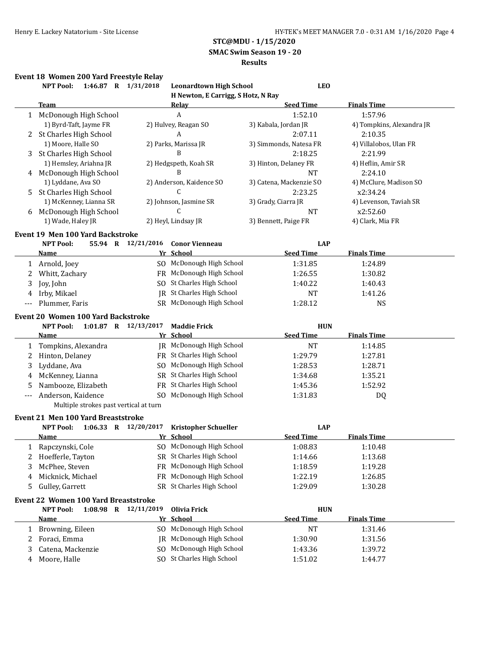**SMAC Swim Season 19 - 20**

#### **Results**

#### **Event 18 Women 200 Yard Freestyle Relay**

| H Newton, E Carrigg, S Hotz, N Ray<br><b>Team</b><br><b>Seed Time</b><br><b>Finals Time</b><br><u>Relav</u><br>A<br>1:52.10<br>1:57.96<br>1 McDonough High School<br>1) Byrd-Taft, Jayme FR<br>2) Hulvey, Reagan SO<br>3) Kabala, Jordan JR<br>4) Tompkins, Alexandra JR<br>A<br>St Charles High School<br>2:10.35<br>2<br>2:07.11<br>1) Moore, Halle SO<br>2) Parks, Marissa JR<br>4) Villalobos, Ulan FR<br>3) Simmonds, Natesa FR<br>B<br>St Charles High School<br>2:18.25<br>2:21.99<br>3<br>1) Hemsley, Ariahna JR<br>2) Hedgspeth, Koah SR<br>3) Hinton, Delaney FR<br>4) Heflin, Amir SR<br>B<br>McDonough High School<br>2:24.10<br><b>NT</b><br>4<br>1) Lyddane, Ava SO<br>2) Anderson, Kaidence SO<br>4) McClure, Madison SO<br>3) Catena, Mackenzie SO<br>C<br>2:23.25<br>St Charles High School<br>x2:34.24<br>5<br>1) McKenney, Lianna SR<br>2) Johnson, Jasmine SR<br>3) Grady, Ciarra JR<br>4) Levenson, Taviah SR<br>C<br>x2:52.60<br>McDonough High School<br><b>NT</b><br>6<br>1) Wade, Haley JR<br>2) Heyl, Lindsay JR<br>3) Bennett, Paige FR<br>4) Clark, Mia FR<br><b>Event 19 Men 100 Yard Backstroke</b><br><b>NPT Pool:</b><br>55.94 R 12/21/2016<br><b>LAP</b><br><b>Conor Vienneau</b><br>Yr School<br><b>Seed Time</b><br><b>Finals Time</b><br>Name<br>SO McDonough High School<br>1 Arnold, Joey<br>1:31.85<br>1:24.89<br>FR McDonough High School<br>Whitt, Zachary<br>1:30.82<br>2<br>1:26.55<br>SO St Charles High School<br>Joy, John<br>1:40.22<br>1:40.43<br>3<br>JR St Charles High School<br>Irby, Mikael<br><b>NT</b><br>1:41.26<br>4<br>SR McDonough High School<br>Plummer, Faris<br>1:28.12<br><b>NS</b><br><b>Event 20 Women 100 Yard Backstroke</b><br>1:01.87 R 12/13/2017<br><b>NPT Pool:</b><br><b>Maddie Frick</b><br><b>HUN</b><br><b>Seed Time</b><br><b>Finals Time</b><br>Yr School<br>Name<br>JR McDonough High School<br><b>NT</b><br>Tompkins, Alexandra<br>1:14.85<br>1<br>FR St Charles High School<br>Hinton, Delaney<br>1:29.79<br>1:27.81<br>2<br>SO McDonough High School<br>Lyddane, Ava<br>1:28.53<br>1:28.71<br>3<br>SR St Charles High School<br>McKenney, Lianna<br>1:34.68<br>1:35.21<br>4<br>Nambooze, Elizabeth<br>FR St Charles High School<br>1:45.36<br>1:52.92<br>5<br>SO McDonough High School<br>Anderson, Kaidence<br>1:31.83<br>DQ<br>---<br>Multiple strokes past vertical at turn<br><b>Event 21 Men 100 Yard Breaststroke</b><br>1:06.33 R 12/20/2017<br><b>NPT Pool:</b><br><b>Kristopher Schueller</b><br><b>LAP</b><br>Yr School<br><b>Seed Time</b><br><b>Finals Time</b><br><u>Name</u><br>Rapczynski, Cole<br>SO McDonough High School<br>1:08.83<br>1:10.48<br>T<br>SR St Charles High School<br>Hoefferle, Tayton<br>1:13.68<br>2<br>1:14.66<br>FR McDonough High School<br>3<br>McPhee, Steven<br>1:18.59<br>1:19.28<br>FR McDonough High School<br>Micknick, Michael<br>1:22.19<br>1:26.85<br>4<br>SR St Charles High School<br>Gulley, Garrett<br>1:29.09<br>5<br>1:30.28<br><b>Event 22 Women 100 Yard Breaststroke</b><br>1:08.98 R 12/11/2019<br><b>Olivia Frick</b><br><b>HUN</b><br><b>NPT Pool:</b><br>Yr School<br><b>Seed Time</b><br><b>Finals Time</b><br><b>Name</b><br>SO McDonough High School<br>Browning, Eileen<br>NT<br>1:31.46<br>1<br>McDonough High School<br>Foraci, Emma<br>1:30.90<br>1:31.56<br>2<br>IR<br>McDonough High School<br>Catena, Mackenzie<br>1:43.36<br>1:39.72<br>3<br>SO.<br>SO St Charles High School<br>Moore, Halle<br>1:51.02<br>1:44.77<br>4 | 1:46.87 R 1/31/2018<br><b>NPT Pool:</b> | <b>Leonardtown High School</b> | <b>LEO</b> |  |
|-------------------------------------------------------------------------------------------------------------------------------------------------------------------------------------------------------------------------------------------------------------------------------------------------------------------------------------------------------------------------------------------------------------------------------------------------------------------------------------------------------------------------------------------------------------------------------------------------------------------------------------------------------------------------------------------------------------------------------------------------------------------------------------------------------------------------------------------------------------------------------------------------------------------------------------------------------------------------------------------------------------------------------------------------------------------------------------------------------------------------------------------------------------------------------------------------------------------------------------------------------------------------------------------------------------------------------------------------------------------------------------------------------------------------------------------------------------------------------------------------------------------------------------------------------------------------------------------------------------------------------------------------------------------------------------------------------------------------------------------------------------------------------------------------------------------------------------------------------------------------------------------------------------------------------------------------------------------------------------------------------------------------------------------------------------------------------------------------------------------------------------------------------------------------------------------------------------------------------------------------------------------------------------------------------------------------------------------------------------------------------------------------------------------------------------------------------------------------------------------------------------------------------------------------------------------------------------------------------------------------------------------------------------------------------------------------------------------------------------------------------------------------------------------------------------------------------------------------------------------------------------------------------------------------------------------------------------------------------------------------------------------------------------------------------------------------------------------------------------------------------------------------------------------------------------------------------------------------------------------------------------------------------------------------------------------------------------------------------------------------------------------------------------------------------------------------------------------------------------|-----------------------------------------|--------------------------------|------------|--|
|                                                                                                                                                                                                                                                                                                                                                                                                                                                                                                                                                                                                                                                                                                                                                                                                                                                                                                                                                                                                                                                                                                                                                                                                                                                                                                                                                                                                                                                                                                                                                                                                                                                                                                                                                                                                                                                                                                                                                                                                                                                                                                                                                                                                                                                                                                                                                                                                                                                                                                                                                                                                                                                                                                                                                                                                                                                                                                                                                                                                                                                                                                                                                                                                                                                                                                                                                                                                                                                                                     |                                         |                                |            |  |
|                                                                                                                                                                                                                                                                                                                                                                                                                                                                                                                                                                                                                                                                                                                                                                                                                                                                                                                                                                                                                                                                                                                                                                                                                                                                                                                                                                                                                                                                                                                                                                                                                                                                                                                                                                                                                                                                                                                                                                                                                                                                                                                                                                                                                                                                                                                                                                                                                                                                                                                                                                                                                                                                                                                                                                                                                                                                                                                                                                                                                                                                                                                                                                                                                                                                                                                                                                                                                                                                                     |                                         |                                |            |  |
|                                                                                                                                                                                                                                                                                                                                                                                                                                                                                                                                                                                                                                                                                                                                                                                                                                                                                                                                                                                                                                                                                                                                                                                                                                                                                                                                                                                                                                                                                                                                                                                                                                                                                                                                                                                                                                                                                                                                                                                                                                                                                                                                                                                                                                                                                                                                                                                                                                                                                                                                                                                                                                                                                                                                                                                                                                                                                                                                                                                                                                                                                                                                                                                                                                                                                                                                                                                                                                                                                     |                                         |                                |            |  |
|                                                                                                                                                                                                                                                                                                                                                                                                                                                                                                                                                                                                                                                                                                                                                                                                                                                                                                                                                                                                                                                                                                                                                                                                                                                                                                                                                                                                                                                                                                                                                                                                                                                                                                                                                                                                                                                                                                                                                                                                                                                                                                                                                                                                                                                                                                                                                                                                                                                                                                                                                                                                                                                                                                                                                                                                                                                                                                                                                                                                                                                                                                                                                                                                                                                                                                                                                                                                                                                                                     |                                         |                                |            |  |
|                                                                                                                                                                                                                                                                                                                                                                                                                                                                                                                                                                                                                                                                                                                                                                                                                                                                                                                                                                                                                                                                                                                                                                                                                                                                                                                                                                                                                                                                                                                                                                                                                                                                                                                                                                                                                                                                                                                                                                                                                                                                                                                                                                                                                                                                                                                                                                                                                                                                                                                                                                                                                                                                                                                                                                                                                                                                                                                                                                                                                                                                                                                                                                                                                                                                                                                                                                                                                                                                                     |                                         |                                |            |  |
|                                                                                                                                                                                                                                                                                                                                                                                                                                                                                                                                                                                                                                                                                                                                                                                                                                                                                                                                                                                                                                                                                                                                                                                                                                                                                                                                                                                                                                                                                                                                                                                                                                                                                                                                                                                                                                                                                                                                                                                                                                                                                                                                                                                                                                                                                                                                                                                                                                                                                                                                                                                                                                                                                                                                                                                                                                                                                                                                                                                                                                                                                                                                                                                                                                                                                                                                                                                                                                                                                     |                                         |                                |            |  |
|                                                                                                                                                                                                                                                                                                                                                                                                                                                                                                                                                                                                                                                                                                                                                                                                                                                                                                                                                                                                                                                                                                                                                                                                                                                                                                                                                                                                                                                                                                                                                                                                                                                                                                                                                                                                                                                                                                                                                                                                                                                                                                                                                                                                                                                                                                                                                                                                                                                                                                                                                                                                                                                                                                                                                                                                                                                                                                                                                                                                                                                                                                                                                                                                                                                                                                                                                                                                                                                                                     |                                         |                                |            |  |
|                                                                                                                                                                                                                                                                                                                                                                                                                                                                                                                                                                                                                                                                                                                                                                                                                                                                                                                                                                                                                                                                                                                                                                                                                                                                                                                                                                                                                                                                                                                                                                                                                                                                                                                                                                                                                                                                                                                                                                                                                                                                                                                                                                                                                                                                                                                                                                                                                                                                                                                                                                                                                                                                                                                                                                                                                                                                                                                                                                                                                                                                                                                                                                                                                                                                                                                                                                                                                                                                                     |                                         |                                |            |  |
|                                                                                                                                                                                                                                                                                                                                                                                                                                                                                                                                                                                                                                                                                                                                                                                                                                                                                                                                                                                                                                                                                                                                                                                                                                                                                                                                                                                                                                                                                                                                                                                                                                                                                                                                                                                                                                                                                                                                                                                                                                                                                                                                                                                                                                                                                                                                                                                                                                                                                                                                                                                                                                                                                                                                                                                                                                                                                                                                                                                                                                                                                                                                                                                                                                                                                                                                                                                                                                                                                     |                                         |                                |            |  |
|                                                                                                                                                                                                                                                                                                                                                                                                                                                                                                                                                                                                                                                                                                                                                                                                                                                                                                                                                                                                                                                                                                                                                                                                                                                                                                                                                                                                                                                                                                                                                                                                                                                                                                                                                                                                                                                                                                                                                                                                                                                                                                                                                                                                                                                                                                                                                                                                                                                                                                                                                                                                                                                                                                                                                                                                                                                                                                                                                                                                                                                                                                                                                                                                                                                                                                                                                                                                                                                                                     |                                         |                                |            |  |
|                                                                                                                                                                                                                                                                                                                                                                                                                                                                                                                                                                                                                                                                                                                                                                                                                                                                                                                                                                                                                                                                                                                                                                                                                                                                                                                                                                                                                                                                                                                                                                                                                                                                                                                                                                                                                                                                                                                                                                                                                                                                                                                                                                                                                                                                                                                                                                                                                                                                                                                                                                                                                                                                                                                                                                                                                                                                                                                                                                                                                                                                                                                                                                                                                                                                                                                                                                                                                                                                                     |                                         |                                |            |  |
|                                                                                                                                                                                                                                                                                                                                                                                                                                                                                                                                                                                                                                                                                                                                                                                                                                                                                                                                                                                                                                                                                                                                                                                                                                                                                                                                                                                                                                                                                                                                                                                                                                                                                                                                                                                                                                                                                                                                                                                                                                                                                                                                                                                                                                                                                                                                                                                                                                                                                                                                                                                                                                                                                                                                                                                                                                                                                                                                                                                                                                                                                                                                                                                                                                                                                                                                                                                                                                                                                     |                                         |                                |            |  |
|                                                                                                                                                                                                                                                                                                                                                                                                                                                                                                                                                                                                                                                                                                                                                                                                                                                                                                                                                                                                                                                                                                                                                                                                                                                                                                                                                                                                                                                                                                                                                                                                                                                                                                                                                                                                                                                                                                                                                                                                                                                                                                                                                                                                                                                                                                                                                                                                                                                                                                                                                                                                                                                                                                                                                                                                                                                                                                                                                                                                                                                                                                                                                                                                                                                                                                                                                                                                                                                                                     |                                         |                                |            |  |
|                                                                                                                                                                                                                                                                                                                                                                                                                                                                                                                                                                                                                                                                                                                                                                                                                                                                                                                                                                                                                                                                                                                                                                                                                                                                                                                                                                                                                                                                                                                                                                                                                                                                                                                                                                                                                                                                                                                                                                                                                                                                                                                                                                                                                                                                                                                                                                                                                                                                                                                                                                                                                                                                                                                                                                                                                                                                                                                                                                                                                                                                                                                                                                                                                                                                                                                                                                                                                                                                                     |                                         |                                |            |  |
|                                                                                                                                                                                                                                                                                                                                                                                                                                                                                                                                                                                                                                                                                                                                                                                                                                                                                                                                                                                                                                                                                                                                                                                                                                                                                                                                                                                                                                                                                                                                                                                                                                                                                                                                                                                                                                                                                                                                                                                                                                                                                                                                                                                                                                                                                                                                                                                                                                                                                                                                                                                                                                                                                                                                                                                                                                                                                                                                                                                                                                                                                                                                                                                                                                                                                                                                                                                                                                                                                     |                                         |                                |            |  |
|                                                                                                                                                                                                                                                                                                                                                                                                                                                                                                                                                                                                                                                                                                                                                                                                                                                                                                                                                                                                                                                                                                                                                                                                                                                                                                                                                                                                                                                                                                                                                                                                                                                                                                                                                                                                                                                                                                                                                                                                                                                                                                                                                                                                                                                                                                                                                                                                                                                                                                                                                                                                                                                                                                                                                                                                                                                                                                                                                                                                                                                                                                                                                                                                                                                                                                                                                                                                                                                                                     |                                         |                                |            |  |
|                                                                                                                                                                                                                                                                                                                                                                                                                                                                                                                                                                                                                                                                                                                                                                                                                                                                                                                                                                                                                                                                                                                                                                                                                                                                                                                                                                                                                                                                                                                                                                                                                                                                                                                                                                                                                                                                                                                                                                                                                                                                                                                                                                                                                                                                                                                                                                                                                                                                                                                                                                                                                                                                                                                                                                                                                                                                                                                                                                                                                                                                                                                                                                                                                                                                                                                                                                                                                                                                                     |                                         |                                |            |  |
|                                                                                                                                                                                                                                                                                                                                                                                                                                                                                                                                                                                                                                                                                                                                                                                                                                                                                                                                                                                                                                                                                                                                                                                                                                                                                                                                                                                                                                                                                                                                                                                                                                                                                                                                                                                                                                                                                                                                                                                                                                                                                                                                                                                                                                                                                                                                                                                                                                                                                                                                                                                                                                                                                                                                                                                                                                                                                                                                                                                                                                                                                                                                                                                                                                                                                                                                                                                                                                                                                     |                                         |                                |            |  |
|                                                                                                                                                                                                                                                                                                                                                                                                                                                                                                                                                                                                                                                                                                                                                                                                                                                                                                                                                                                                                                                                                                                                                                                                                                                                                                                                                                                                                                                                                                                                                                                                                                                                                                                                                                                                                                                                                                                                                                                                                                                                                                                                                                                                                                                                                                                                                                                                                                                                                                                                                                                                                                                                                                                                                                                                                                                                                                                                                                                                                                                                                                                                                                                                                                                                                                                                                                                                                                                                                     |                                         |                                |            |  |
|                                                                                                                                                                                                                                                                                                                                                                                                                                                                                                                                                                                                                                                                                                                                                                                                                                                                                                                                                                                                                                                                                                                                                                                                                                                                                                                                                                                                                                                                                                                                                                                                                                                                                                                                                                                                                                                                                                                                                                                                                                                                                                                                                                                                                                                                                                                                                                                                                                                                                                                                                                                                                                                                                                                                                                                                                                                                                                                                                                                                                                                                                                                                                                                                                                                                                                                                                                                                                                                                                     |                                         |                                |            |  |
|                                                                                                                                                                                                                                                                                                                                                                                                                                                                                                                                                                                                                                                                                                                                                                                                                                                                                                                                                                                                                                                                                                                                                                                                                                                                                                                                                                                                                                                                                                                                                                                                                                                                                                                                                                                                                                                                                                                                                                                                                                                                                                                                                                                                                                                                                                                                                                                                                                                                                                                                                                                                                                                                                                                                                                                                                                                                                                                                                                                                                                                                                                                                                                                                                                                                                                                                                                                                                                                                                     |                                         |                                |            |  |
|                                                                                                                                                                                                                                                                                                                                                                                                                                                                                                                                                                                                                                                                                                                                                                                                                                                                                                                                                                                                                                                                                                                                                                                                                                                                                                                                                                                                                                                                                                                                                                                                                                                                                                                                                                                                                                                                                                                                                                                                                                                                                                                                                                                                                                                                                                                                                                                                                                                                                                                                                                                                                                                                                                                                                                                                                                                                                                                                                                                                                                                                                                                                                                                                                                                                                                                                                                                                                                                                                     |                                         |                                |            |  |
|                                                                                                                                                                                                                                                                                                                                                                                                                                                                                                                                                                                                                                                                                                                                                                                                                                                                                                                                                                                                                                                                                                                                                                                                                                                                                                                                                                                                                                                                                                                                                                                                                                                                                                                                                                                                                                                                                                                                                                                                                                                                                                                                                                                                                                                                                                                                                                                                                                                                                                                                                                                                                                                                                                                                                                                                                                                                                                                                                                                                                                                                                                                                                                                                                                                                                                                                                                                                                                                                                     |                                         |                                |            |  |
|                                                                                                                                                                                                                                                                                                                                                                                                                                                                                                                                                                                                                                                                                                                                                                                                                                                                                                                                                                                                                                                                                                                                                                                                                                                                                                                                                                                                                                                                                                                                                                                                                                                                                                                                                                                                                                                                                                                                                                                                                                                                                                                                                                                                                                                                                                                                                                                                                                                                                                                                                                                                                                                                                                                                                                                                                                                                                                                                                                                                                                                                                                                                                                                                                                                                                                                                                                                                                                                                                     |                                         |                                |            |  |
|                                                                                                                                                                                                                                                                                                                                                                                                                                                                                                                                                                                                                                                                                                                                                                                                                                                                                                                                                                                                                                                                                                                                                                                                                                                                                                                                                                                                                                                                                                                                                                                                                                                                                                                                                                                                                                                                                                                                                                                                                                                                                                                                                                                                                                                                                                                                                                                                                                                                                                                                                                                                                                                                                                                                                                                                                                                                                                                                                                                                                                                                                                                                                                                                                                                                                                                                                                                                                                                                                     |                                         |                                |            |  |
|                                                                                                                                                                                                                                                                                                                                                                                                                                                                                                                                                                                                                                                                                                                                                                                                                                                                                                                                                                                                                                                                                                                                                                                                                                                                                                                                                                                                                                                                                                                                                                                                                                                                                                                                                                                                                                                                                                                                                                                                                                                                                                                                                                                                                                                                                                                                                                                                                                                                                                                                                                                                                                                                                                                                                                                                                                                                                                                                                                                                                                                                                                                                                                                                                                                                                                                                                                                                                                                                                     |                                         |                                |            |  |
|                                                                                                                                                                                                                                                                                                                                                                                                                                                                                                                                                                                                                                                                                                                                                                                                                                                                                                                                                                                                                                                                                                                                                                                                                                                                                                                                                                                                                                                                                                                                                                                                                                                                                                                                                                                                                                                                                                                                                                                                                                                                                                                                                                                                                                                                                                                                                                                                                                                                                                                                                                                                                                                                                                                                                                                                                                                                                                                                                                                                                                                                                                                                                                                                                                                                                                                                                                                                                                                                                     |                                         |                                |            |  |
|                                                                                                                                                                                                                                                                                                                                                                                                                                                                                                                                                                                                                                                                                                                                                                                                                                                                                                                                                                                                                                                                                                                                                                                                                                                                                                                                                                                                                                                                                                                                                                                                                                                                                                                                                                                                                                                                                                                                                                                                                                                                                                                                                                                                                                                                                                                                                                                                                                                                                                                                                                                                                                                                                                                                                                                                                                                                                                                                                                                                                                                                                                                                                                                                                                                                                                                                                                                                                                                                                     |                                         |                                |            |  |
|                                                                                                                                                                                                                                                                                                                                                                                                                                                                                                                                                                                                                                                                                                                                                                                                                                                                                                                                                                                                                                                                                                                                                                                                                                                                                                                                                                                                                                                                                                                                                                                                                                                                                                                                                                                                                                                                                                                                                                                                                                                                                                                                                                                                                                                                                                                                                                                                                                                                                                                                                                                                                                                                                                                                                                                                                                                                                                                                                                                                                                                                                                                                                                                                                                                                                                                                                                                                                                                                                     |                                         |                                |            |  |
|                                                                                                                                                                                                                                                                                                                                                                                                                                                                                                                                                                                                                                                                                                                                                                                                                                                                                                                                                                                                                                                                                                                                                                                                                                                                                                                                                                                                                                                                                                                                                                                                                                                                                                                                                                                                                                                                                                                                                                                                                                                                                                                                                                                                                                                                                                                                                                                                                                                                                                                                                                                                                                                                                                                                                                                                                                                                                                                                                                                                                                                                                                                                                                                                                                                                                                                                                                                                                                                                                     |                                         |                                |            |  |
|                                                                                                                                                                                                                                                                                                                                                                                                                                                                                                                                                                                                                                                                                                                                                                                                                                                                                                                                                                                                                                                                                                                                                                                                                                                                                                                                                                                                                                                                                                                                                                                                                                                                                                                                                                                                                                                                                                                                                                                                                                                                                                                                                                                                                                                                                                                                                                                                                                                                                                                                                                                                                                                                                                                                                                                                                                                                                                                                                                                                                                                                                                                                                                                                                                                                                                                                                                                                                                                                                     |                                         |                                |            |  |
|                                                                                                                                                                                                                                                                                                                                                                                                                                                                                                                                                                                                                                                                                                                                                                                                                                                                                                                                                                                                                                                                                                                                                                                                                                                                                                                                                                                                                                                                                                                                                                                                                                                                                                                                                                                                                                                                                                                                                                                                                                                                                                                                                                                                                                                                                                                                                                                                                                                                                                                                                                                                                                                                                                                                                                                                                                                                                                                                                                                                                                                                                                                                                                                                                                                                                                                                                                                                                                                                                     |                                         |                                |            |  |
|                                                                                                                                                                                                                                                                                                                                                                                                                                                                                                                                                                                                                                                                                                                                                                                                                                                                                                                                                                                                                                                                                                                                                                                                                                                                                                                                                                                                                                                                                                                                                                                                                                                                                                                                                                                                                                                                                                                                                                                                                                                                                                                                                                                                                                                                                                                                                                                                                                                                                                                                                                                                                                                                                                                                                                                                                                                                                                                                                                                                                                                                                                                                                                                                                                                                                                                                                                                                                                                                                     |                                         |                                |            |  |
|                                                                                                                                                                                                                                                                                                                                                                                                                                                                                                                                                                                                                                                                                                                                                                                                                                                                                                                                                                                                                                                                                                                                                                                                                                                                                                                                                                                                                                                                                                                                                                                                                                                                                                                                                                                                                                                                                                                                                                                                                                                                                                                                                                                                                                                                                                                                                                                                                                                                                                                                                                                                                                                                                                                                                                                                                                                                                                                                                                                                                                                                                                                                                                                                                                                                                                                                                                                                                                                                                     |                                         |                                |            |  |
|                                                                                                                                                                                                                                                                                                                                                                                                                                                                                                                                                                                                                                                                                                                                                                                                                                                                                                                                                                                                                                                                                                                                                                                                                                                                                                                                                                                                                                                                                                                                                                                                                                                                                                                                                                                                                                                                                                                                                                                                                                                                                                                                                                                                                                                                                                                                                                                                                                                                                                                                                                                                                                                                                                                                                                                                                                                                                                                                                                                                                                                                                                                                                                                                                                                                                                                                                                                                                                                                                     |                                         |                                |            |  |
|                                                                                                                                                                                                                                                                                                                                                                                                                                                                                                                                                                                                                                                                                                                                                                                                                                                                                                                                                                                                                                                                                                                                                                                                                                                                                                                                                                                                                                                                                                                                                                                                                                                                                                                                                                                                                                                                                                                                                                                                                                                                                                                                                                                                                                                                                                                                                                                                                                                                                                                                                                                                                                                                                                                                                                                                                                                                                                                                                                                                                                                                                                                                                                                                                                                                                                                                                                                                                                                                                     |                                         |                                |            |  |
|                                                                                                                                                                                                                                                                                                                                                                                                                                                                                                                                                                                                                                                                                                                                                                                                                                                                                                                                                                                                                                                                                                                                                                                                                                                                                                                                                                                                                                                                                                                                                                                                                                                                                                                                                                                                                                                                                                                                                                                                                                                                                                                                                                                                                                                                                                                                                                                                                                                                                                                                                                                                                                                                                                                                                                                                                                                                                                                                                                                                                                                                                                                                                                                                                                                                                                                                                                                                                                                                                     |                                         |                                |            |  |
|                                                                                                                                                                                                                                                                                                                                                                                                                                                                                                                                                                                                                                                                                                                                                                                                                                                                                                                                                                                                                                                                                                                                                                                                                                                                                                                                                                                                                                                                                                                                                                                                                                                                                                                                                                                                                                                                                                                                                                                                                                                                                                                                                                                                                                                                                                                                                                                                                                                                                                                                                                                                                                                                                                                                                                                                                                                                                                                                                                                                                                                                                                                                                                                                                                                                                                                                                                                                                                                                                     |                                         |                                |            |  |
|                                                                                                                                                                                                                                                                                                                                                                                                                                                                                                                                                                                                                                                                                                                                                                                                                                                                                                                                                                                                                                                                                                                                                                                                                                                                                                                                                                                                                                                                                                                                                                                                                                                                                                                                                                                                                                                                                                                                                                                                                                                                                                                                                                                                                                                                                                                                                                                                                                                                                                                                                                                                                                                                                                                                                                                                                                                                                                                                                                                                                                                                                                                                                                                                                                                                                                                                                                                                                                                                                     |                                         |                                |            |  |
|                                                                                                                                                                                                                                                                                                                                                                                                                                                                                                                                                                                                                                                                                                                                                                                                                                                                                                                                                                                                                                                                                                                                                                                                                                                                                                                                                                                                                                                                                                                                                                                                                                                                                                                                                                                                                                                                                                                                                                                                                                                                                                                                                                                                                                                                                                                                                                                                                                                                                                                                                                                                                                                                                                                                                                                                                                                                                                                                                                                                                                                                                                                                                                                                                                                                                                                                                                                                                                                                                     |                                         |                                |            |  |
|                                                                                                                                                                                                                                                                                                                                                                                                                                                                                                                                                                                                                                                                                                                                                                                                                                                                                                                                                                                                                                                                                                                                                                                                                                                                                                                                                                                                                                                                                                                                                                                                                                                                                                                                                                                                                                                                                                                                                                                                                                                                                                                                                                                                                                                                                                                                                                                                                                                                                                                                                                                                                                                                                                                                                                                                                                                                                                                                                                                                                                                                                                                                                                                                                                                                                                                                                                                                                                                                                     |                                         |                                |            |  |
|                                                                                                                                                                                                                                                                                                                                                                                                                                                                                                                                                                                                                                                                                                                                                                                                                                                                                                                                                                                                                                                                                                                                                                                                                                                                                                                                                                                                                                                                                                                                                                                                                                                                                                                                                                                                                                                                                                                                                                                                                                                                                                                                                                                                                                                                                                                                                                                                                                                                                                                                                                                                                                                                                                                                                                                                                                                                                                                                                                                                                                                                                                                                                                                                                                                                                                                                                                                                                                                                                     |                                         |                                |            |  |
|                                                                                                                                                                                                                                                                                                                                                                                                                                                                                                                                                                                                                                                                                                                                                                                                                                                                                                                                                                                                                                                                                                                                                                                                                                                                                                                                                                                                                                                                                                                                                                                                                                                                                                                                                                                                                                                                                                                                                                                                                                                                                                                                                                                                                                                                                                                                                                                                                                                                                                                                                                                                                                                                                                                                                                                                                                                                                                                                                                                                                                                                                                                                                                                                                                                                                                                                                                                                                                                                                     |                                         |                                |            |  |
|                                                                                                                                                                                                                                                                                                                                                                                                                                                                                                                                                                                                                                                                                                                                                                                                                                                                                                                                                                                                                                                                                                                                                                                                                                                                                                                                                                                                                                                                                                                                                                                                                                                                                                                                                                                                                                                                                                                                                                                                                                                                                                                                                                                                                                                                                                                                                                                                                                                                                                                                                                                                                                                                                                                                                                                                                                                                                                                                                                                                                                                                                                                                                                                                                                                                                                                                                                                                                                                                                     |                                         |                                |            |  |
|                                                                                                                                                                                                                                                                                                                                                                                                                                                                                                                                                                                                                                                                                                                                                                                                                                                                                                                                                                                                                                                                                                                                                                                                                                                                                                                                                                                                                                                                                                                                                                                                                                                                                                                                                                                                                                                                                                                                                                                                                                                                                                                                                                                                                                                                                                                                                                                                                                                                                                                                                                                                                                                                                                                                                                                                                                                                                                                                                                                                                                                                                                                                                                                                                                                                                                                                                                                                                                                                                     |                                         |                                |            |  |
|                                                                                                                                                                                                                                                                                                                                                                                                                                                                                                                                                                                                                                                                                                                                                                                                                                                                                                                                                                                                                                                                                                                                                                                                                                                                                                                                                                                                                                                                                                                                                                                                                                                                                                                                                                                                                                                                                                                                                                                                                                                                                                                                                                                                                                                                                                                                                                                                                                                                                                                                                                                                                                                                                                                                                                                                                                                                                                                                                                                                                                                                                                                                                                                                                                                                                                                                                                                                                                                                                     |                                         |                                |            |  |
|                                                                                                                                                                                                                                                                                                                                                                                                                                                                                                                                                                                                                                                                                                                                                                                                                                                                                                                                                                                                                                                                                                                                                                                                                                                                                                                                                                                                                                                                                                                                                                                                                                                                                                                                                                                                                                                                                                                                                                                                                                                                                                                                                                                                                                                                                                                                                                                                                                                                                                                                                                                                                                                                                                                                                                                                                                                                                                                                                                                                                                                                                                                                                                                                                                                                                                                                                                                                                                                                                     |                                         |                                |            |  |
|                                                                                                                                                                                                                                                                                                                                                                                                                                                                                                                                                                                                                                                                                                                                                                                                                                                                                                                                                                                                                                                                                                                                                                                                                                                                                                                                                                                                                                                                                                                                                                                                                                                                                                                                                                                                                                                                                                                                                                                                                                                                                                                                                                                                                                                                                                                                                                                                                                                                                                                                                                                                                                                                                                                                                                                                                                                                                                                                                                                                                                                                                                                                                                                                                                                                                                                                                                                                                                                                                     |                                         |                                |            |  |
|                                                                                                                                                                                                                                                                                                                                                                                                                                                                                                                                                                                                                                                                                                                                                                                                                                                                                                                                                                                                                                                                                                                                                                                                                                                                                                                                                                                                                                                                                                                                                                                                                                                                                                                                                                                                                                                                                                                                                                                                                                                                                                                                                                                                                                                                                                                                                                                                                                                                                                                                                                                                                                                                                                                                                                                                                                                                                                                                                                                                                                                                                                                                                                                                                                                                                                                                                                                                                                                                                     |                                         |                                |            |  |